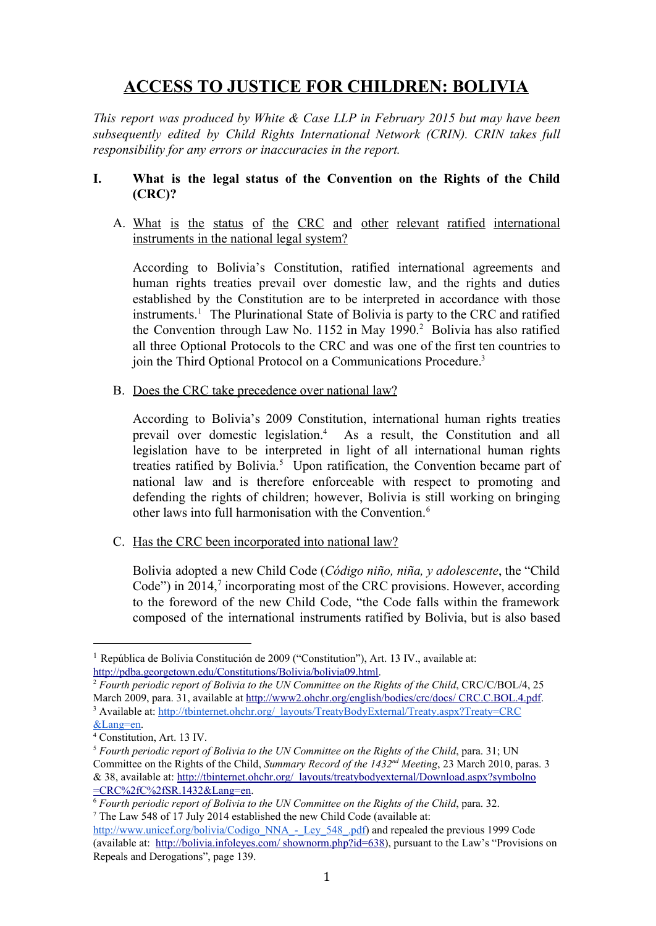# **ACCESS TO JUSTICE FOR CHILDREN: BOLIVIA**

*This report was produced by White & Case LLP in February 2015 but may have been subsequently edited by Child Rights International Network (CRIN). CRIN takes full responsibility for any errors or inaccuracies in the report.*

### **I. What is the legal status of the Convention on the Rights of the Child (CRC)?**

A. What is the status of the CRC and other relevant ratified international instruments in the national legal system?

According to Bolivia's Constitution, ratified international agreements and human rights treaties prevail over domestic law, and the rights and duties established by the Constitution are to be interpreted in accordance with those  $in$ struments.<sup>1</sup> The Plurinational State of Bolivia is party to the CRC and ratified the Convention through Law No. 1152 in May 1990.<sup>2</sup> Bolivia has also ratified all three Optional Protocols to the CRC and was one of the first ten countries to join the Third Optional Protocol on a Communications Procedure. 3

B. Does the CRC take precedence over national law?

According to Bolivia's 2009 Constitution, international human rights treaties prevail over domestic legislation.<sup>4</sup> As a result, the Constitution and all legislation have to be interpreted in light of all international human rights treaties ratified by Bolivia.<sup>5</sup> Upon ratification, the Convention became part of national law and is therefore enforceable with respect to promoting and defending the rights of children; however, Bolivia is still working on bringing other laws into full harmonisation with the Convention. 6

C. Has the CRC been incorporated into national law?

Bolivia adopted a new Child Code (*Código niño, niña, y adolescente*, the "Child Code") in 2014, $\frac{7}{7}$  incorporating most of the CRC provisions. However, according to the foreword of the new Child Code, "the Code falls within the framework composed of the international instruments ratified by Bolivia, but is also based

<sup>1</sup> República de Bolívia Constitución de 2009 ("Constitution"), Art. 13 IV., available at: [http://pdba.georgetown.edu/Constitutions/Bolivia/bolivia09.html.](http://pdba.georgetown.edu/Constitutions/Bolivia/bolivia09.html)

<sup>2</sup> *Fourth periodic report of Bolivia to the UN Committee on the Rights of the Child*, CRC/C/BOL/4, 25 March 2009, para. 31, available at [http://www2.ohchr.org/english/bodies/crc/docs/](http://www2.ohchr.org/english/bodies/crc/docs/CRC.C.BOL.4.pdf) CRC.C.BOL.4.pdf. <sup>3</sup> Available at: [http://tbinternet.ohchr.org/\\_layouts/TreatyBodyExternal/Treaty.aspx?Treaty=CRC](http://tbinternet.ohchr.org/_layouts/TreatyBodyExternal/Treaty.aspx?Treaty=CRC&Lang=en)

[<sup>&</sup>amp;Lang=en.](http://tbinternet.ohchr.org/_layouts/TreatyBodyExternal/Treaty.aspx?Treaty=CRC&Lang=en)

<sup>4</sup> Constitution, Art. 13 IV.

<sup>5</sup> *Fourth periodic report of Bolivia to the UN Committee on the Rights of the Child*, para. 31; UN Committee on the Rights of the Child, *Summary Record of the 1432<sup>nd</sup> Meeting*, 23 March 2010, paras. 3 & 38, available at: [http://tbinternet.ohchr.org/\\_layouts/treatybodyexternal/Download.aspx?symbolno](http://tbinternet.ohchr.org/_layouts/treatybodyexternal/Download.aspx?symbolno=CRC%2fC%2fSR.1432&Lang=en) [=CRC%2fC%2fSR.1432&Lang=en.](http://tbinternet.ohchr.org/_layouts/treatybodyexternal/Download.aspx?symbolno=CRC%2fC%2fSR.1432&Lang=en)

<sup>6</sup> *Fourth periodic report of Bolivia to the UN Committee on the Rights of the Child*, para. 32. <sup>7</sup> The Law 548 of 17 July 2014 established the new Child Code (available at:

[http://www.unicef.org/bolivia/Codigo\\_NNA\\_\\_Ley\\_548\\_.pdf\)](http://www.unicef.org/bolivia/Codigo_NNA_-_Ley_548_.pdf) and repealed the previous 1999 Code (available at: [http://bolivia.infoleyes.com/](http://bolivia.infoleyes.com/shownorm.php?id=638) shownorm.php?id=638), pursuant to the Law's "Provisions on Repeals and Derogations", page 139.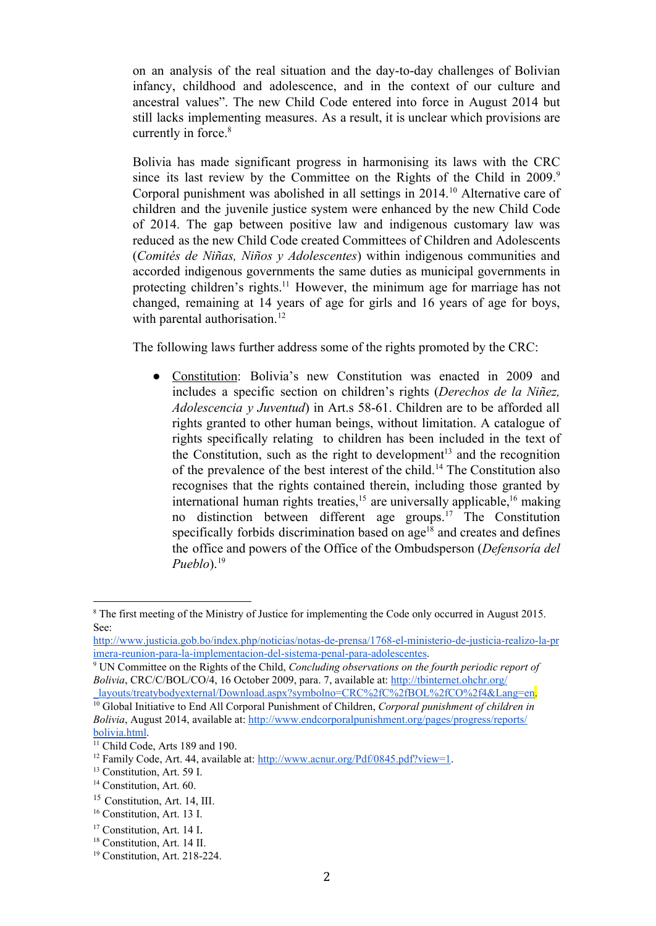on an analysis of the real situation and the day-to-day challenges of Bolivian infancy, childhood and adolescence, and in the context of our culture and ancestral values". The new Child Code entered into force in August 2014 but still lacks implementing measures. As a result, it is unclear which provisions are currently in force. 8

Bolivia has made significant progress in harmonising its laws with the CRC since its last review by the Committee on the Rights of the Child in 2009.<sup>9</sup> Corporal punishment was abolished in all settings in 2014.<sup>10</sup> Alternative care of children and the juvenile justice system were enhanced by the new Child Code of 2014. The gap between positive law and indigenous customary law was reduced as the new Child Code created Committees of Children and Adolescents (*Comités de Niñas, Niños y Adolescentes*) within indigenous communities and accorded indigenous governments the same duties as municipal governments in protecting children's rights.<sup>11</sup> However, the minimum age for marriage has not changed, remaining at 14 years of age for girls and 16 years of age for boys, with parental authorisation.<sup>12</sup>

The following laws further address some of the rights promoted by the CRC:

● Constitution: Bolivia's new Constitution was enacted in 2009 and includes a specific section on children's rights (*Derechos de la Niñez, Adolescencia y Juventud*) in Art.s 58-61. Children are to be afforded all rights granted to other human beings, without limitation. A catalogue of rights specifically relating to children has been included in the text of the Constitution, such as the right to development<sup>13</sup> and the recognition of the prevalence of the best interest of the child.<sup>14</sup> The Constitution also recognises that the rights contained therein, including those granted by international human rights treaties,  $15$  are universally applicable,  $16$  making no distinction between different age groups.<sup>17</sup> The Constitution specifically forbids discrimination based on  $age<sup>18</sup>$  and creates and defines the office and powers of the Office of the Ombudsperson (*Defensoría del Pueblo*). 19

<sup>8</sup> The first meeting of the Ministry of Justice for implementing the Code only occurred in August 2015. See:

http://www.justicia.gob.bo/index.php/noticias/notas-de-prensa/1768-el-ministerio-de-justicia-realizo-la-pr imera-reunion-para-la-implementacion-del-sistema-penal-para-adolescentes.

<sup>9</sup> UN Committee on the Rights of the Child, *Concluding observations on the fourth periodic report of Bolivia*, CRC/C/BOL/CO/4, 16 October 2009, para. 7, available at: [http://tbinternet.ohchr.org/](http://tbinternet.ohchr.org/_layouts/treatybodyexternal/Download.aspx?symbolno=CRC%2fC%2fBOL%2fCO%2f4&Lang=en)

[\\_layouts/treatybodyexternal/Download.aspx?symbolno=CRC%2fC%2fBOL%2fCO%2f4&Lang=en.](http://tbinternet.ohchr.org/_layouts/treatybodyexternal/Download.aspx?symbolno=CRC%2fC%2fBOL%2fCO%2f4&Lang=en) <sup>10</sup> Global Initiative to End All Corporal Punishment of Children, *Corporal punishment of children in*

*Bolivia*, August 2014, available at: [http://www.endcorporalpunishment.org/pages/progress/reports/](http://www.endcorporalpunishment.org/pages/progress/reports/bolivia.html) [bolivia.html](http://www.endcorporalpunishment.org/pages/progress/reports/bolivia.html).

<sup>&</sup>lt;sup>11</sup> Child Code, Arts 189 and 190.

<sup>&</sup>lt;sup>12</sup> Family Code, Art. 44, available at: [http://www.acnur.org/Pdf/0845.pdf?view=1.](http://www.acnur.org/Pdf/0845.pdf?view=1)

<sup>&</sup>lt;sup>13</sup> Constitution, Art. 59 I.

<sup>&</sup>lt;sup>14</sup> Constitution, Art. 60.

<sup>15</sup> Constitution, Art. 14, III.

<sup>16</sup> Constitution, Art. 13 I.

<sup>&</sup>lt;sup>17</sup> Constitution, Art. 14 I.

<sup>18</sup> Constitution, Art. 14 II.

 $19$  Constitution, Art. 218-224.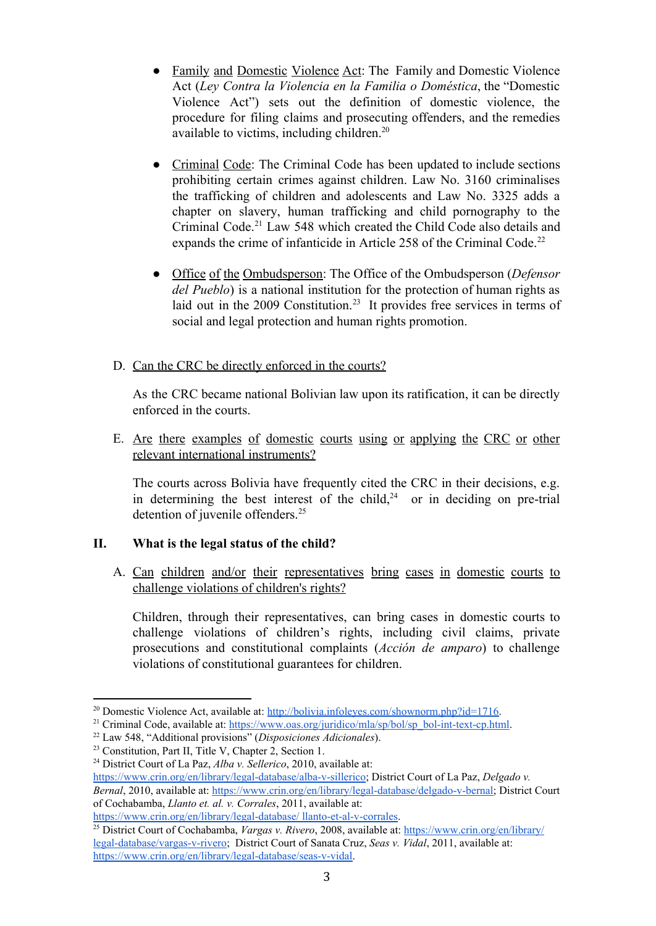- Family and Domestic Violence Act: The Family and Domestic Violence Act (*Ley Contra la Violencia en la Familia o Doméstica*, the "Domestic Violence Act") sets out the definition of domestic violence, the procedure for filing claims and prosecuting offenders, and the remedies available to victims, including children. 20
- Criminal Code: The Criminal Code has been updated to include sections prohibiting certain crimes against children. Law No. 3160 criminalises the trafficking of children and adolescents and Law No. 3325 adds a chapter on slavery, human trafficking and child pornography to the Criminal Code.<sup>21</sup> Law 548 which created the Child Code also details and expands the crime of infanticide in Article 258 of the Criminal Code.<sup>22</sup>
- Office of the Ombudsperson: The Office of the Ombudsperson (*Defensor del Pueblo*) is a national institution for the protection of human rights as laid out in the  $2009$  Constitution.<sup>23</sup> It provides free services in terms of social and legal protection and human rights promotion.
- D. Can the CRC be directly enforced in the courts?

As the CRC became national Bolivian law upon its ratification, it can be directly enforced in the courts.

E. Are there examples of domestic courts using or applying the CRC or other relevant international instruments?

The courts across Bolivia have frequently cited the CRC in their decisions, e.g. in determining the best interest of the child,<sup>24</sup> or in deciding on pre-trial detention of juvenile offenders. 25

## **II. What is the legal status of the child?**

A. Can children and/or their representatives bring cases in domestic courts to challenge violations of children's rights?

Children, through their representatives, can bring cases in domestic courts to challenge violations of children's rights, including civil claims, private prosecutions and constitutional complaints (*Acción de amparo*) to challenge violations of constitutional guarantees for children.

<sup>&</sup>lt;sup>20</sup> Domestic Violence Act, available at: [http://bolivia.infoleyes.com/shownorm.php?id=1716.](http://bolivia.infoleyes.com/shownorm.php?id=1716)

<sup>&</sup>lt;sup>21</sup> Criminal Code, available at: https://www.oas.org/juridico/mla/sp/bol/sp\_bol-int-text-cp.html.

<sup>22</sup> Law 548, "Additional provisions" (*Disposiciones Adicionales*).

<sup>23</sup> Constitution, Part II, Title V, Chapter 2, Section 1.

<sup>24</sup> District Court of La Paz, *Alba v. Sellerico*, 2010, available at: https://www.crin.org/en/library/legal-database/alba-v-sillerico; District Court of La Paz, *Delgado v. Bernal*, 2010, available at: https://www.crin.org/en/library/legal-database/delgado-v-bernal; District Court of Cochabamba, *Llanto et. al. v. Corrales*, 2011, available at:

https://www.crin.org/en/library/legal-database/ llanto-et-al-v-corrales.

<sup>25</sup> District Court of Cochabamba, *Vargas v. Rivero*, 2008, available at: [https://www.crin.org/en/library/](https://www.crin.org/en/library/legal-database/vargas-v-rivero) legal-database/vargas-v-rivero; District Court of Sanata Cruz, *Seas v. Vidal*, 2011, available at: https://www.crin.org/en/library/legal-database/seas-v-vidal.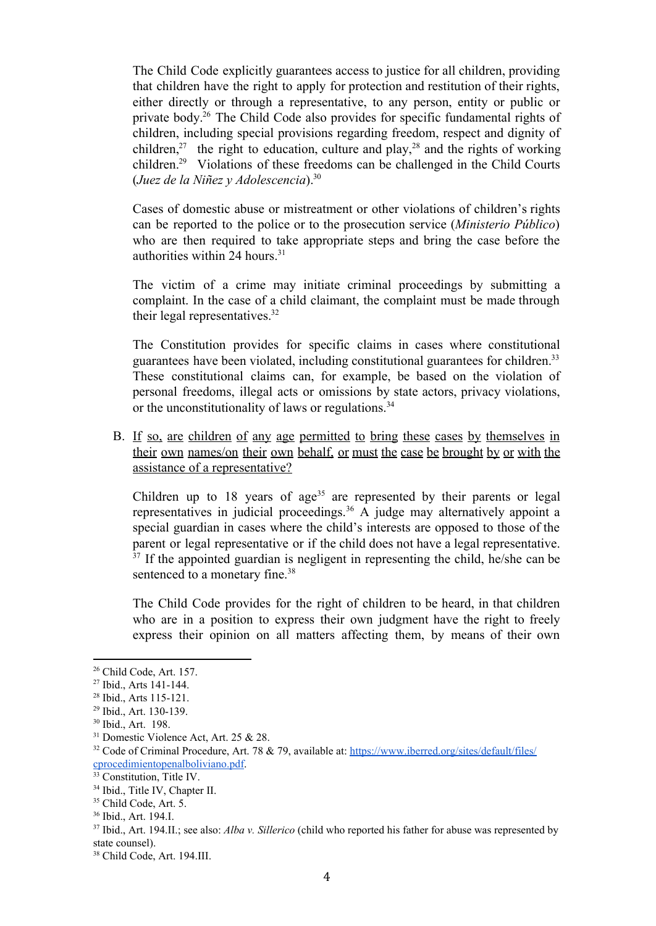The Child Code explicitly guarantees access to justice for all children, providing that children have the right to apply for protection and restitution of their rights, either directly or through a representative, to any person, entity or public or private body.<sup>26</sup> The Child Code also provides for specific fundamental rights of children, including special provisions regarding freedom, respect and dignity of children,<sup>27</sup> the right to education, culture and play,<sup>28</sup> and the rights of working children.<sup>29</sup> Violations of these freedoms can be challenged in the Child Courts (*Juez de la Niñez y Adolescencia*). 30

Cases of domestic abuse or mistreatment or other violations of children's rights can be reported to the police or to the prosecution service (*Ministerio Público*) who are then required to take appropriate steps and bring the case before the authorities within 24 hours. 31

The victim of a crime may initiate criminal proceedings by submitting a complaint. In the case of a child claimant, the complaint must be made through their legal representatives. 32

The Constitution provides for specific claims in cases where constitutional guarantees have been violated, including constitutional guarantees for children. 33 These constitutional claims can, for example, be based on the violation of personal freedoms, illegal acts or omissions by state actors, privacy violations, or the unconstitutionality of laws or regulations.<sup>34</sup>

B. If so, are children of any age permitted to bring these cases by themselves in their own names/on their own behalf, or must the case be brought by or with the assistance of a representative?

Children up to 18 years of age<sup>35</sup> are represented by their parents or legal representatives in judicial proceedings.<sup>36</sup> A judge may alternatively appoint a special guardian in cases where the child's interests are opposed to those of the parent or legal representative or if the child does not have a legal representative.  $37$  If the appointed guardian is negligent in representing the child, he/she can be sentenced to a monetary fine.<sup>38</sup>

The Child Code provides for the right of children to be heard, in that children who are in a position to express their own judgment have the right to freely express their opinion on all matters affecting them, by means of their own

<sup>26</sup> Child Code, Art. 157.

 $27$  Ibid., Arts 141-144.

<sup>&</sup>lt;sup>28</sup> Ibid., Arts 115-121.

<sup>&</sup>lt;sup>29</sup> Ibid., Art. 130-139.

<sup>30</sup> Ibid., Art. 198.

<sup>&</sup>lt;sup>31</sup> Domestic Violence Act, Art. 25 & 28.

 $32$  Code of Criminal Procedure, Art. 78 & 79, available at: [https://www.iberred.org/sites/default/files/](https://www.iberred.org/sites/default/files/cprocedimientopenalboliviano.pdf) [cprocedimientopenalboliviano.pdf.](https://www.iberred.org/sites/default/files/cprocedimientopenalboliviano.pdf)

<sup>&</sup>lt;sup>33</sup> Constitution, Title IV.

<sup>34</sup> Ibid., Title IV, Chapter II.

<sup>&</sup>lt;sup>35</sup> Child Code, Art. 5.

<sup>36</sup> Ibid., Art. 194.I.

<sup>37</sup> Ibid., Art. 194.II.; see also: *Alba v. Sillerico* (child who reported his father for abuse was represented by state counsel).

<sup>38</sup> Child Code, Art. 194.III.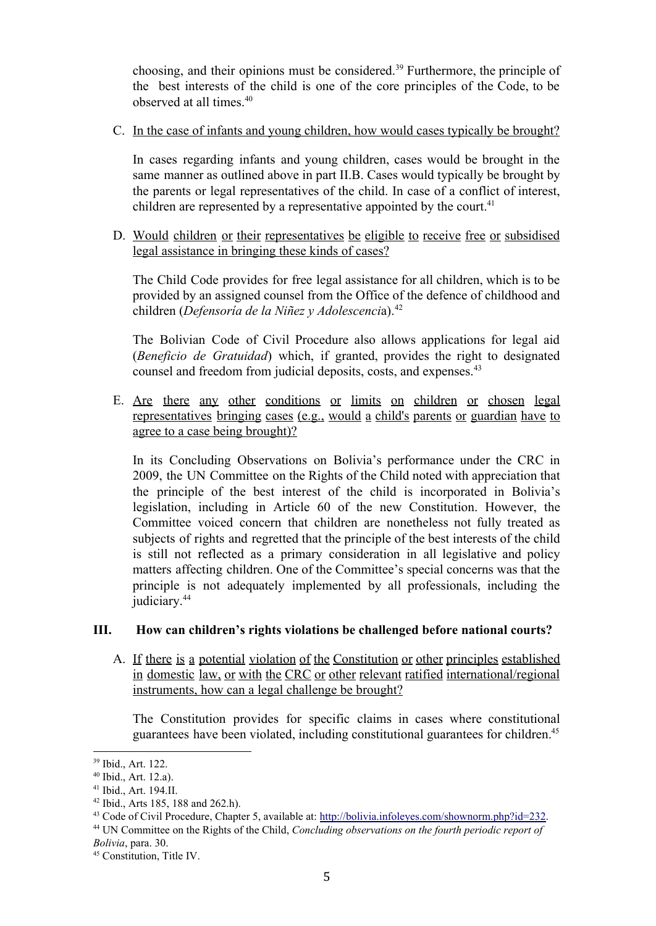choosing, and their opinions must be considered.<sup>39</sup> Furthermore, the principle of the best interests of the child is one of the core principles of the Code, to be observed at all times. 40

C. In the case of infants and young children, how would cases typically be brought?

In cases regarding infants and young children, cases would be brought in the same manner as outlined above in part II.B. Cases would typically be brought by the parents or legal representatives of the child. In case of a conflict of interest, children are represented by a representative appointed by the court.<sup>41</sup>

D. Would children or their representatives be eligible to receive free or subsidised legal assistance in bringing these kinds of cases?

The Child Code provides for free legal assistance for all children, which is to be provided by an assigned counsel from the Office of the defence of childhood and children (*Defensoría de la Niñez y Adolescenci*a). 42

The Bolivian Code of Civil Procedure also allows applications for legal aid (*Beneficio de Gratuidad*) which, if granted, provides the right to designated counsel and freedom from judicial deposits, costs, and expenses. 43

E. Are there any other conditions or limits on children or chosen legal representatives bringing cases (e.g., would a child's parents or guardian have to agree to a case being brought)?

In its Concluding Observations on Bolivia's performance under the CRC in 2009, the UN Committee on the Rights of the Child noted with appreciation that the principle of the best interest of the child is incorporated in Bolivia's legislation, including in Article 60 of the new Constitution. However, the Committee voiced concern that children are nonetheless not fully treated as subjects of rights and regretted that the principle of the best interests of the child is still not reflected as a primary consideration in all legislative and policy matters affecting children. One of the Committee's special concerns was that the principle is not adequately implemented by all professionals, including the judiciary. 44

## **III. How can children's rights violations be challenged before national courts?**

A. If there is a potential violation of the Constitution or other principles established in domestic law, or with the CRC or other relevant ratified international/regional instruments, how can a legal challenge be brought?

The Constitution provides for specific claims in cases where constitutional guarantees have been violated, including constitutional guarantees for children. 45

<sup>39</sup> Ibid., Art. 122.

<sup>40</sup> Ibid., Art. 12.a).

<sup>41</sup> Ibid., Art. 194.II.

<sup>42</sup> Ibid., Arts 185, 188 and 262.h).

<sup>43</sup> Code of Civil Procedure, Chapter 5, available at: [http://bolivia.infoleyes.com/shownorm.php?id=232.](http://bolivia.infoleyes.com/shownorm.php?id=232)

<sup>44</sup> UN Committee on the Rights of the Child, *Concluding observations on the fourth periodic report of Bolivia*, para. 30.

<sup>45</sup> Constitution, Title IV.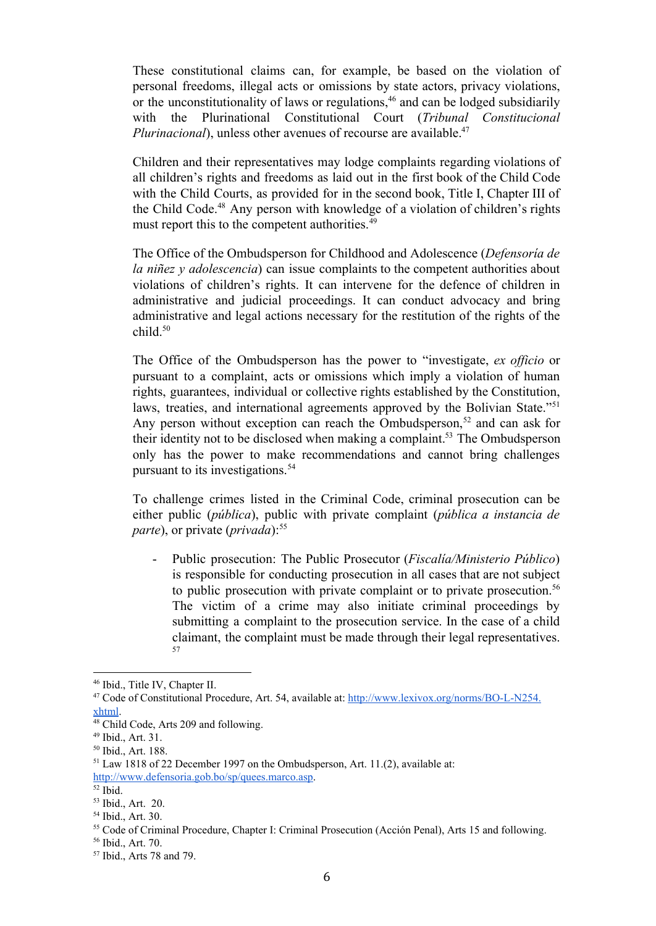These constitutional claims can, for example, be based on the violation of personal freedoms, illegal acts or omissions by state actors, privacy violations, or the unconstitutionality of laws or regulations, $46$  and can be lodged subsidiarily with the Plurinational Constitutional Court (*Tribunal Constitucional Plurinacional*), unless other avenues of recourse are available. 47

Children and their representatives may lodge complaints regarding violations of all children's rights and freedoms as laid out in the first book of the Child Code with the Child Courts, as provided for in the second book, Title I, Chapter III of the Child Code.<sup>48</sup> Any person with knowledge of a violation of children's rights must report this to the competent authorities.<sup>49</sup>

The Office of the Ombudsperson for Childhood and Adolescence (*Defensoría de la niñez y adolescencia*) can issue complaints to the competent authorities about violations of children's rights. It can intervene for the defence of children in administrative and judicial proceedings. It can conduct advocacy and bring administrative and legal actions necessary for the restitution of the rights of the child. 50

The Office of the Ombudsperson has the power to "investigate, *ex of icio* or pursuant to a complaint, acts or omissions which imply a violation of human rights, guarantees, individual or collective rights established by the Constitution, laws, treaties, and international agreements approved by the Bolivian State."<sup>51</sup> Any person without exception can reach the Ombudsperson,<sup>52</sup> and can ask for their identity not to be disclosed when making a complaint.<sup>53</sup> The Ombudsperson only has the power to make recommendations and cannot bring challenges pursuant to its investigations. 54

To challenge crimes listed in the Criminal Code, criminal prosecution can be either public (*pública*), public with private complaint (*pública a instancia de parte*), or private (*privada*): 55

 Public prosecution: The Public Prosecutor (*Fiscalía/Ministerio Público*) is responsible for conducting prosecution in all cases that are not subject to public prosecution with private complaint or to private prosecution. 56 The victim of a crime may also initiate criminal proceedings by submitting a complaint to the prosecution service. In the case of a child claimant, the complaint must be made through their legal representatives. 57

<sup>46</sup> Ibid., Title IV, Chapter II.

<sup>&</sup>lt;sup>47</sup> Code of Constitutional Procedure, Art. 54, available at: http://www.lexivox.org/norms/BO-L-N254. [xhtml.](http://www.lexivox.org/norms/BO-L-N254.xhtml)

<sup>48</sup> Child Code, Arts 209 and following.

<sup>49</sup> Ibid., Art. 31.

<sup>50</sup> Ibid., Art. 188.

<sup>51</sup> Law 1818 of 22 December 1997 on the Ombudsperson, Art. 11.(2), available at: <http://www.defensoria.gob.bo/sp/quees.marco.asp>.

<sup>52</sup> Ibid.

<sup>53</sup> Ibid., Art. 20.

<sup>54</sup> Ibid., Art. 30.

<sup>55</sup> Code of Criminal Procedure, Chapter I: Criminal Prosecution (Acción Penal), Arts 15 and following.

<sup>56</sup> Ibid., Art. 70.

<sup>57</sup> Ibid., Arts 78 and 79.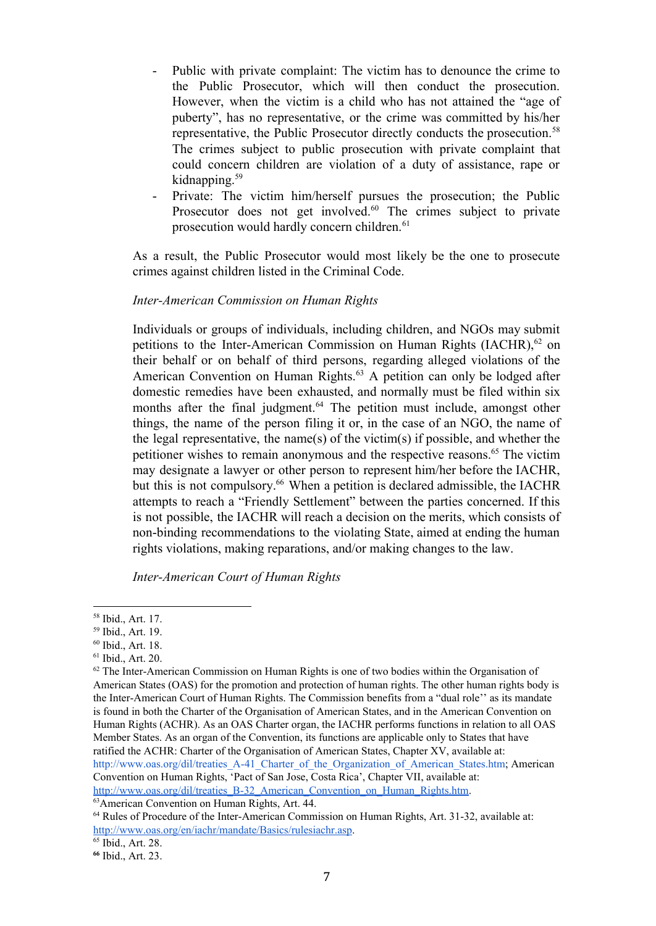- Public with private complaint: The victim has to denounce the crime to the Public Prosecutor, which will then conduct the prosecution. However, when the victim is a child who has not attained the "age of puberty", has no representative, or the crime was committed by his/her representative, the Public Prosecutor directly conducts the prosecution. 58 The crimes subject to public prosecution with private complaint that could concern children are violation of a duty of assistance, rape or kidnapping. 59
- Private: The victim him/herself pursues the prosecution; the Public Prosecutor does not get involved.<sup>60</sup> The crimes subject to private prosecution would hardly concern children. 61

As a result, the Public Prosecutor would most likely be the one to prosecute crimes against children listed in the Criminal Code.

#### *InterAmerican Commission on Human Rights*

Individuals or groups of individuals, including children, and NGOs may submit petitions to the Inter-American Commission on Human Rights  $(IACHR)$ ,<sup>62</sup> on their behalf or on behalf of third persons, regarding alleged violations of the American Convention on Human Rights.<sup>63</sup> A petition can only be lodged after domestic remedies have been exhausted, and normally must be filed within six months after the final judgment.<sup>64</sup> The petition must include, amongst other things, the name of the person filing it or, in the case of an NGO, the name of the legal representative, the name(s) of the victim(s) if possible, and whether the petitioner wishes to remain anonymous and the respective reasons. <sup>65</sup> The victim may designate a lawyer or other person to represent him/her before the IACHR, but this is not compulsory.<sup>66</sup> When a petition is declared admissible, the IACHR attempts to reach a "Friendly Settlement" between the parties concerned. If this is not possible, the IACHR will reach a decision on the merits, which consists of non-binding recommendations to the violating State, aimed at ending the human rights violations, making reparations, and/or making changes to the law.

*InterAmerican Court of Human Rights*

<sup>58</sup> Ibid., Art. 17.

<sup>59</sup> Ibid., Art. 19.

<sup>60</sup> Ibid., Art. 18.

<sup>61</sup> Ibid., Art. 20.

 $62$  The Inter-American Commission on Human Rights is one of two bodies within the Organisation of American States (OAS) for the promotion and protection of human rights. The other human rights body is the InterAmerican Court of Human Rights. The Commission benefits from a "dual role'' as its mandate is found in both the Charter of the Organisation of American States, and in the American Convention on Human Rights (ACHR). As an OAS Charter organ, the IACHR performs functions in relation to all OAS Member States. As an organ of the Convention, its functions are applicable only to States that have ratified the ACHR: Charter of the Organisation of American States, Chapter XV, available at: http://www.oas.org/dil/treaties\_A-41\_Charter\_of\_the\_Organization\_of\_American\_States.htm; American Convention on Human Rights, 'Pact of San Jose, Costa Rica', Chapter VII, available at:

http://www.oas.org/dil/treaties\_B-32\_American\_Convention\_on\_Human\_Rights.htm.

<sup>63</sup>American Convention on Human Rights, Art. 44.

 $64$  Rules of Procedure of the Inter-American Commission on Human Rights, Art. 31-32, available at: [http://www.oas.org/en/iachr/mandate/Basics/rulesiachr.asp.](http://www.oas.org/en/iachr/mandate/Basics/rulesiachr.asp)

<sup>65</sup> Ibid., Art. 28.

**<sup>66</sup>** Ibid., Art. 23.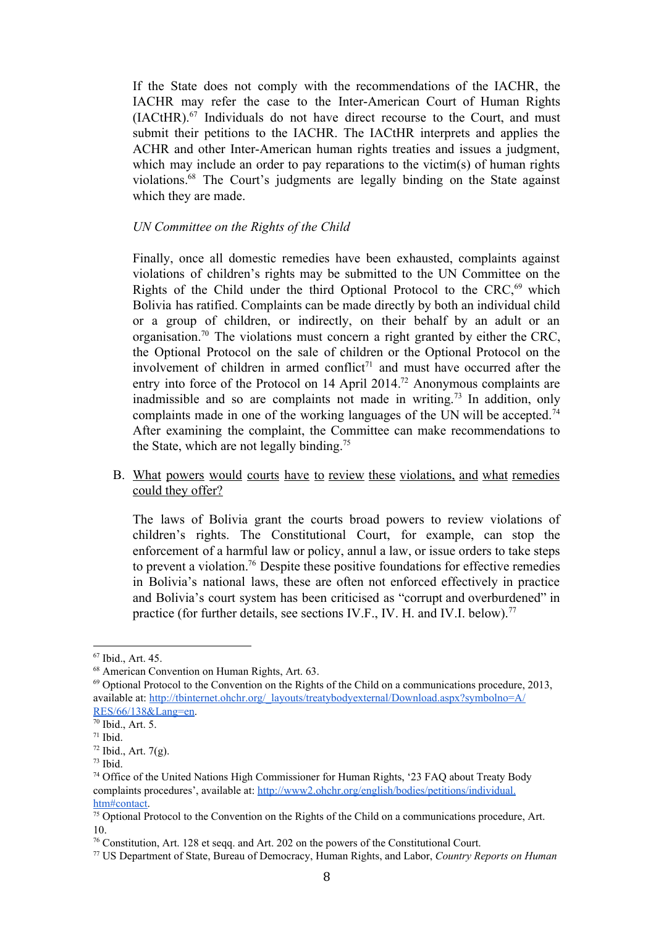If the State does not comply with the recommendations of the IACHR, the IACHR may refer the case to the Inter-American Court of Human Rights  $(IACHR).<sup>67</sup>$  Individuals do not have direct recourse to the Court, and must submit their petitions to the IACHR. The IACtHR interprets and applies the ACHR and other Inter-American human rights treaties and issues a judgment, which may include an order to pay reparations to the victim(s) of human rights violations.<sup>68</sup> The Court's judgments are legally binding on the State against which they are made.

#### *UN Committee on the Rights of the Child*

Finally, once all domestic remedies have been exhausted, complaints against violations of children's rights may be submitted to the UN Committee on the Rights of the Child under the third Optional Protocol to the CRC,<sup>69</sup> which Bolivia has ratified. Complaints can be made directly by both an individual child or a group of children, or indirectly, on their behalf by an adult or an organisation.<sup>70</sup> The violations must concern a right granted by either the CRC, the Optional Protocol on the sale of children or the Optional Protocol on the involvement of children in armed conflict<sup> $71$ </sup> and must have occurred after the entry into force of the Protocol on 14 April 2014.<sup>72</sup> Anonymous complaints are inadmissible and so are complaints not made in writing.<sup>73</sup> In addition, only complaints made in one of the working languages of the UN will be accepted. 74 After examining the complaint, the Committee can make recommendations to the State, which are not legally binding.<sup>75</sup>

B. What powers would courts have to review these violations, and what remedies could they offer?

The laws of Bolivia grant the courts broad powers to review violations of children's rights. The Constitutional Court, for example, can stop the enforcement of a harmful law or policy, annul a law, or issue orders to take steps to prevent a violation.<sup>76</sup> Despite these positive foundations for effective remedies in Bolivia's national laws, these are often not enforced effectively in practice and Bolivia's court system has been criticised as "corrupt and overburdened" in practice (for further details, see sections IV.F., IV. H. and IV.I. below).<sup>77</sup>

<sup>67</sup> Ibid., Art. 45.

<sup>68</sup> American Convention on Human Rights, Art. 63.

 $^{69}$  Optional Protocol to the Convention on the Rights of the Child on a communications procedure, 2013, available at: [http://tbinternet.ohchr.org/\\_layouts/treatybodyexternal/Download.aspx?symbolno=A/](http://tbinternet.ohchr.org/_layouts/treatybodyexternal/Download.aspx?symbolno=A/RES/66/138&Lang=en) [RES/66/138&Lang=en.](http://tbinternet.ohchr.org/_layouts/treatybodyexternal/Download.aspx?symbolno=A/RES/66/138&Lang=en)

<sup>70</sup> Ibid., Art. 5.

<sup>71</sup> Ibid.

 $72$  Ibid., Art. 7(g).

 $73$  Ibid.

<sup>74</sup> Office of the United Nations High Commissioner for Human Rights, '23 FAQ about Treaty Body complaints procedures', available at: [http://www2.ohchr.org/english/bodies/petitions/individual.](http://www2.ohchr.org/english/bodies/petitions/individual.htm#contact) [htm#contact.](http://www2.ohchr.org/english/bodies/petitions/individual.htm#contact)

<sup>75</sup> Optional Protocol to the Convention on the Rights of the Child on a communications procedure, Art. 10.

<sup>76</sup> Constitution, Art. 128 et seqq. and Art. 202 on the powers of the Constitutional Court.

<sup>77</sup> US Department of State, Bureau of Democracy, Human Rights, and Labor, *Country Reports on Human*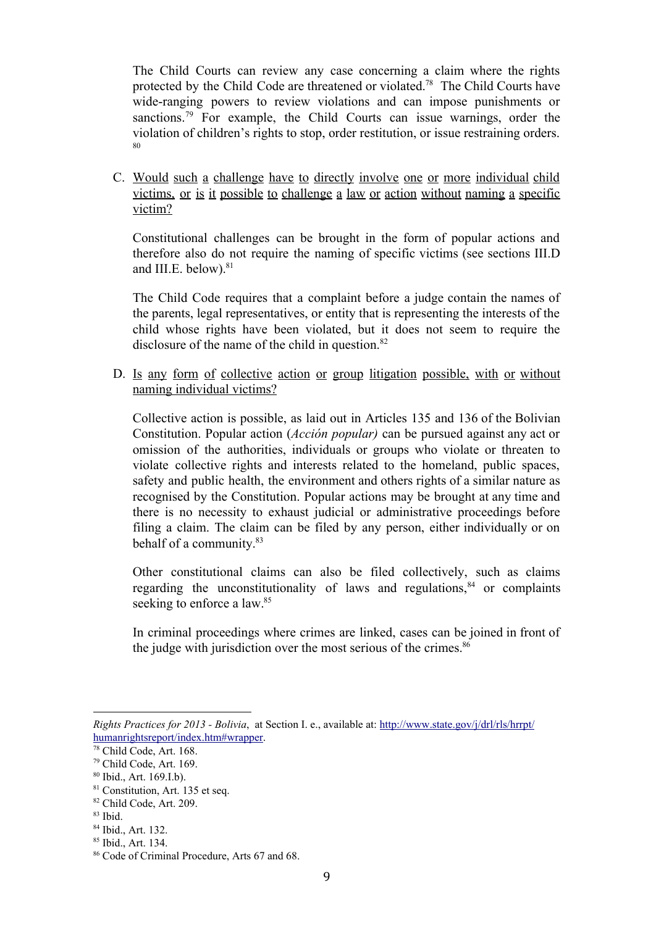The Child Courts can review any case concerning a claim where the rights protected by the Child Code are threatened or violated.<sup>78</sup> The Child Courts have wide-ranging powers to review violations and can impose punishments or sanctions.<sup>79</sup> For example, the Child Courts can issue warnings, order the violation of children's rights to stop, order restitution, or issue restraining orders. 80

C. Would such a challenge have to directly involve one or more individual child victims, or is it possible to challenge a law or action without naming a specific victim?

Constitutional challenges can be brought in the form of popular actions and therefore also do not require the naming of specific victims (see sections III.D and III.E. below). 81

The Child Code requires that a complaint before a judge contain the names of the parents, legal representatives, or entity that is representing the interests of the child whose rights have been violated, but it does not seem to require the disclosure of the name of the child in question. 82

D. Is any form of collective action or group litigation possible, with or without naming individual victims?

Collective action is possible, as laid out in Articles 135 and 136 of the Bolivian Constitution. Popular action (*Acción popular)* can be pursued against any act or omission of the authorities, individuals or groups who violate or threaten to violate collective rights and interests related to the homeland, public spaces, safety and public health, the environment and others rights of a similar nature as recognised by the Constitution. Popular actions may be brought at any time and there is no necessity to exhaust judicial or administrative proceedings before filing a claim. The claim can be filed by any person, either individually or on behalf of a community. 83

Other constitutional claims can also be filed collectively, such as claims regarding the unconstitutionality of laws and regulations, $84$  or complaints seeking to enforce a law.<sup>85</sup>

In criminal proceedings where crimes are linked, cases can be joined in front of the judge with jurisdiction over the most serious of the crimes. 86

*Rights Practices for 2013 Bolivia*, at Section I. e., available at: [http://www.state.gov/j/drl/rls/hrrpt/](http://www.state.gov/j/drl/rls/hrrpt/humanrightsreport/index.htm#wrapper) [humanrightsreport/index.htm#wrapper.](http://www.state.gov/j/drl/rls/hrrpt/humanrightsreport/index.htm#wrapper)

<sup>78</sup> Child Code, Art. 168.

<sup>79</sup> Child Code, Art. 169.

<sup>80</sup> Ibid., Art. 169.I.b).

<sup>81</sup> Constitution, Art. 135 et seq.

<sup>82</sup> Child Code, Art. 209.

<sup>83</sup> Ibid.

<sup>84</sup> Ibid., Art. 132.

<sup>85</sup> Ibid., Art. 134.

<sup>86</sup> Code of Criminal Procedure, Arts 67 and 68.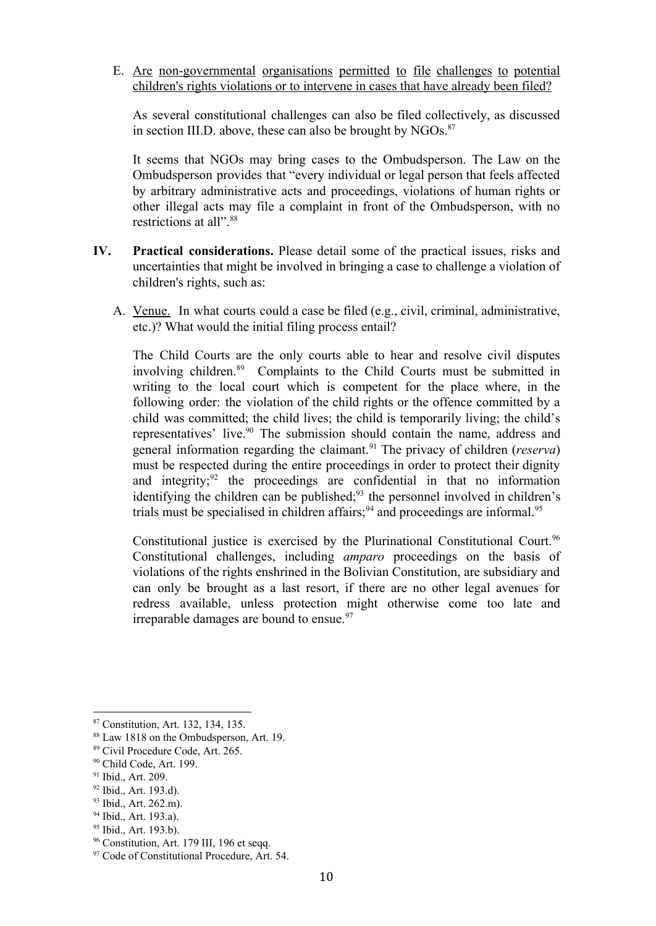E. Are nongovernmental organisations permitted to file challenges to potential children's rights violations or to intervene in cases that have already been filed?

As several constitutional challenges can also be filed collectively, as discussed in section III.D. above, these can also be brought by  $NGOs$ .<sup>87</sup>

It seems that NGOs may bring cases to the Ombudsperson. The Law on the Ombudsperson provides that "every individual or legal person that feels affected by arbitrary administrative acts and proceedings, violations of human rights or other illegal acts may file a complaint in front of the Ombudsperson, with no restrictions at all". 88

- **IV. Practical considerations.** Please detail some of the practical issues, risks and uncertainties that might be involved in bringing a case to challenge a violation of children's rights, such as:
	- A. Venue. In what courts could a case be filed (e.g., civil, criminal, administrative, etc.)? What would the initial filing process entail?

The Child Courts are the only courts able to hear and resolve civil disputes involving children.<sup>89</sup> Complaints to the Child Courts must be submitted in writing to the local court which is competent for the place where, in the following order: the violation of the child rights or the offence committed by a child was committed; the child lives; the child is temporarily living; the child's representatives' live. $90$  The submission should contain the name, address and general information regarding the claimant.<sup>91</sup> The privacy of children (*reserva*) must be respected during the entire proceedings in order to protect their dignity and integrity; $92$  the proceedings are confidential in that no information identifying the children can be published;<sup>93</sup> the personnel involved in children's trials must be specialised in children affairs;<sup>94</sup> and proceedings are informal.<sup>95</sup>

Constitutional justice is exercised by the Plurinational Constitutional Court. 96 Constitutional challenges, including *amparo* proceedings on the basis of violations of the rights enshrined in the Bolivian Constitution, are subsidiary and can only be brought as a last resort, if there are no other legal avenues for redress available, unless protection might otherwise come too late and irreparable damages are bound to ensue. 97

<sup>87</sup> Constitution, Art. 132, 134, 135.

<sup>88</sup> Law 1818 on the Ombudsperson, Art. 19.

<sup>89</sup> Civil Procedure Code, Art. 265.

<sup>90</sup> Child Code, Art. 199.

<sup>&</sup>lt;sup>91</sup> Ibid., Art. 209.

 $92$  Ibid., Art. 193.d).

<sup>&</sup>lt;sup>93</sup> Ibid., Art. 262.m).

<sup>&</sup>lt;sup>94</sup> Ibid., Art. 193.a).

<sup>&</sup>lt;sup>95</sup> Ibid., Art. 193.b).

<sup>&</sup>lt;sup>96</sup> Constitution, Art. 179 III, 196 et seqq.

<sup>&</sup>lt;sup>97</sup> Code of Constitutional Procedure, Art. 54.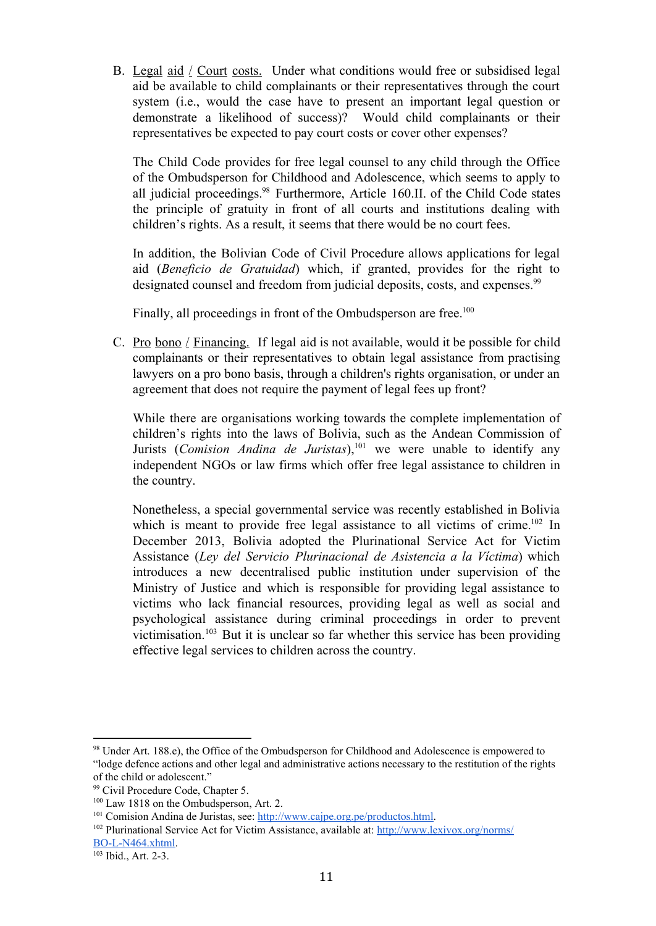B. Legal aid / Court costs. Under what conditions would free or subsidised legal aid be available to child complainants or their representatives through the court system (i.e., would the case have to present an important legal question or demonstrate a likelihood of success)? Would child complainants or their representatives be expected to pay court costs or cover other expenses?

The Child Code provides for free legal counsel to any child through the Office of the Ombudsperson for Childhood and Adolescence, which seems to apply to all judicial proceedings.<sup>98</sup> Furthermore, Article 160.II. of the Child Code states the principle of gratuity in front of all courts and institutions dealing with children's rights. As a result, it seems that there would be no court fees.

In addition, the Bolivian Code of Civil Procedure allows applications for legal aid (*Beneficio de Gratuidad*) which, if granted, provides for the right to designated counsel and freedom from judicial deposits, costs, and expenses.<sup>99</sup>

Finally, all proceedings in front of the Ombudsperson are free.<sup>100</sup>

C. Pro bono / Financing. If legal aid is not available, would it be possible for child complainants or their representatives to obtain legal assistance from practising lawyers on a pro bono basis, through a children's rights organisation, or under an agreement that does not require the payment of legal fees up front?

While there are organisations working towards the complete implementation of children's rights into the laws of Bolivia, such as the Andean Commission of Jurists (*Comision Andina de Juristas*),<sup>101</sup> we were unable to identify any independent NGOs or law firms which offer free legal assistance to children in the country.

Nonetheless, a special governmental service was recently established in Bolivia which is meant to provide free legal assistance to all victims of crime.<sup>102</sup> In December 2013, Bolivia adopted the Plurinational Service Act for Victim Assistance (*Ley del Servicio Plurinacional de Asistencia a la Víctima*) which introduces a new decentralised public institution under supervision of the Ministry of Justice and which is responsible for providing legal assistance to victims who lack financial resources, providing legal as well as social and psychological assistance during criminal proceedings in order to prevent victimisation.<sup>103</sup> But it is unclear so far whether this service has been providing effective legal services to children across the country.

<sup>98</sup> Under Art. 188.e), the Office of the Ombudsperson for Childhood and Adolescence is empowered to "lodge defence actions and other legal and administrative actions necessary to the restitution of the rights of the child or adolescent."

<sup>99</sup> Civil Procedure Code, Chapter 5.

<sup>&</sup>lt;sup>100</sup> Law 1818 on the Ombudsperson, Art. 2.

<sup>&</sup>lt;sup>101</sup> Comision Andina de Juristas, see: [http://www.cajpe.org.pe/productos.html.](http://www.cajpe.org.pe/productos.html)

<sup>102</sup> Plurinational Service Act for Victim Assistance, available at: [http://www.lexivox.org/norms/](http://www.lexivox.org/norms/BO-L-N464.xhtml) BO-L-N464.xhtml.

<sup>&</sup>lt;sup>103</sup> Ibid., Art. 2-3.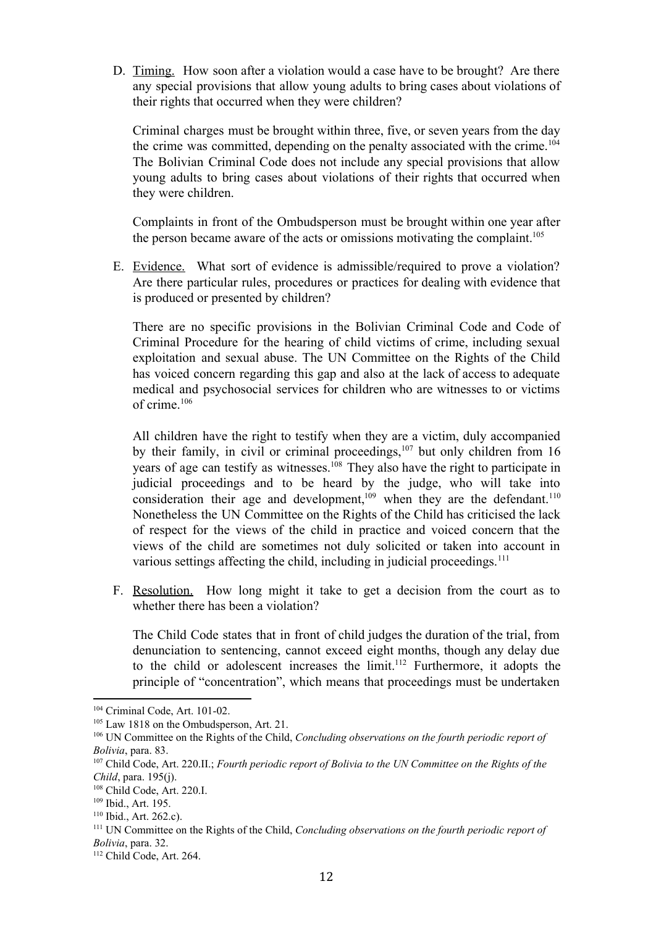D. Timing. How soon after a violation would a case have to be brought? Are there any special provisions that allow young adults to bring cases about violations of their rights that occurred when they were children?

Criminal charges must be brought within three, five, or seven years from the day the crime was committed, depending on the penalty associated with the crime. 104 The Bolivian Criminal Code does not include any special provisions that allow young adults to bring cases about violations of their rights that occurred when they were children.

Complaints in front of the Ombudsperson must be brought within one year after the person became aware of the acts or omissions motivating the complaint. 105

E. Evidence. What sort of evidence is admissible/required to prove a violation? Are there particular rules, procedures or practices for dealing with evidence that is produced or presented by children?

There are no specific provisions in the Bolivian Criminal Code and Code of Criminal Procedure for the hearing of child victims of crime, including sexual exploitation and sexual abuse. The UN Committee on the Rights of the Child has voiced concern regarding this gap and also at the lack of access to adequate medical and psychosocial services for children who are witnesses to or victims of crime. 106

All children have the right to testify when they are a victim, duly accompanied by their family, in civil or criminal proceedings,  $107$  but only children from 16 years of age can testify as witnesses.<sup>108</sup> They also have the right to participate in judicial proceedings and to be heard by the judge, who will take into consideration their age and development,<sup>109</sup> when they are the defendant.<sup>110</sup> Nonetheless the UN Committee on the Rights of the Child has criticised the lack of respect for the views of the child in practice and voiced concern that the views of the child are sometimes not duly solicited or taken into account in various settings affecting the child, including in judicial proceedings.<sup>111</sup>

F. Resolution. How long might it take to get a decision from the court as to whether there has been a violation?

The Child Code states that in front of child judges the duration of the trial, from denunciation to sentencing, cannot exceed eight months, though any delay due to the child or adolescent increases the  $\text{limit.}^{112}$  Furthermore, it adopts the principle of "concentration", which means that proceedings must be undertaken

 $104$  Criminal Code, Art.  $101-02$ .

<sup>&</sup>lt;sup>105</sup> Law 1818 on the Ombudsperson, Art. 21.

<sup>106</sup> UN Committee on the Rights of the Child, *Concluding observations on the fourth periodic report of Bolivia*, para. 83.

<sup>107</sup> Child Code, Art. 220.II.; *Fourth periodic report of Bolivia to the UN Committee on the Rights of the Child*, para. 195(j).

<sup>108</sup> Child Code, Art. 220.I.

<sup>109</sup> Ibid., Art. 195.

<sup>110</sup> Ibid., Art. 262.c).

<sup>111</sup> UN Committee on the Rights of the Child, *Concluding observations on the fourth periodic report of Bolivia*, para. 32.

<sup>112</sup> Child Code, Art. 264.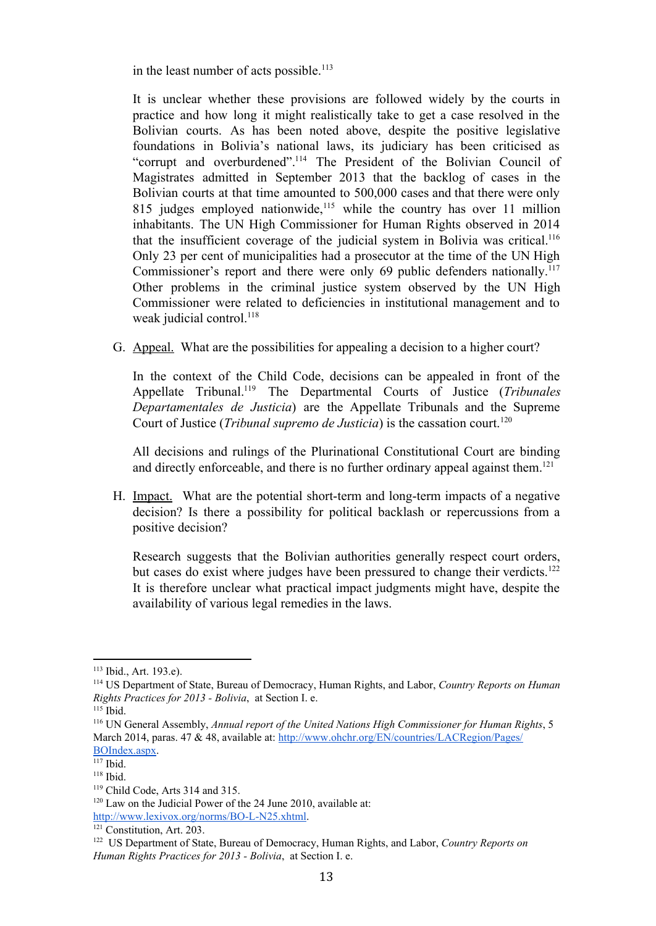in the least number of acts possible.<sup>113</sup>

It is unclear whether these provisions are followed widely by the courts in practice and how long it might realistically take to get a case resolved in the Bolivian courts. As has been noted above, despite the positive legislative foundations in Bolivia's national laws, its judiciary has been criticised as "corrupt and overburdened".<sup>114</sup> The President of the Bolivian Council of Magistrates admitted in September 2013 that the backlog of cases in the Bolivian courts at that time amounted to 500,000 cases and that there were only 815 judges employed nationwide,<sup>115</sup> while the country has over 11 million inhabitants. The UN High Commissioner for Human Rights observed in 2014 that the insufficient coverage of the judicial system in Bolivia was critical. 116 Only 23 per cent of municipalities had a prosecutor at the time of the UN High Commissioner's report and there were only 69 public defenders nationally.<sup>117</sup> Other problems in the criminal justice system observed by the UN High Commissioner were related to deficiencies in institutional management and to weak judicial control.<sup>118</sup>

G. Appeal. What are the possibilities for appealing a decision to a higher court?

In the context of the Child Code, decisions can be appealed in front of the Appellate Tribunal.<sup>119</sup> The Departmental Courts of Justice (*Tribunales Departamentales de Justicia*) are the Appellate Tribunals and the Supreme Court of Justice (*Tribunal supremo de Justicia*) is the cassation court. 120

All decisions and rulings of the Plurinational Constitutional Court are binding and directly enforceable, and there is no further ordinary appeal against them. 121

H. Impact. What are the potential short-term and long-term impacts of a negative decision? Is there a possibility for political backlash or repercussions from a positive decision?

Research suggests that the Bolivian authorities generally respect court orders, but cases do exist where judges have been pressured to change their verdicts.<sup>122</sup> It is therefore unclear what practical impact judgments might have, despite the availability of various legal remedies in the laws.

<sup>113</sup> Ibid., Art. 193.e).

<sup>114</sup> US Department of State, Bureau of Democracy, Human Rights, and Labor, *Country Reports on Human Rights Practices for 2013 Bolivia*, at Section I. e.

<sup>115</sup> Ibid.

<sup>116</sup> UN General Assembly, *Annual report of the United Nations High Commissioner for Human Rights*, 5 March 2014, paras. 47 & 48, available at: [http://www.ohchr.org/EN/countries/LACRegion/Pages/](http://www.ohchr.org/EN/countries/LACRegion/Pages/BOIndex.aspx) [BOIndex.aspx.](http://www.ohchr.org/EN/countries/LACRegion/Pages/BOIndex.aspx)

<sup>117</sup> Ibid.

<sup>118</sup> Ibid.

<sup>119</sup> Child Code, Arts 314 and 315.

<sup>&</sup>lt;sup>120</sup> Law on the Judicial Power of the 24 June 2010, available at: http://www.lexivox.org/norms/BO-L-N25.xhtml.

<sup>&</sup>lt;sup>121</sup> Constitution, Art. 203.

<sup>122</sup> US Department of State, Bureau of Democracy, Human Rights, and Labor, *Country Reports on Human Rights Practices for 2013 Bolivia*, at Section I. e.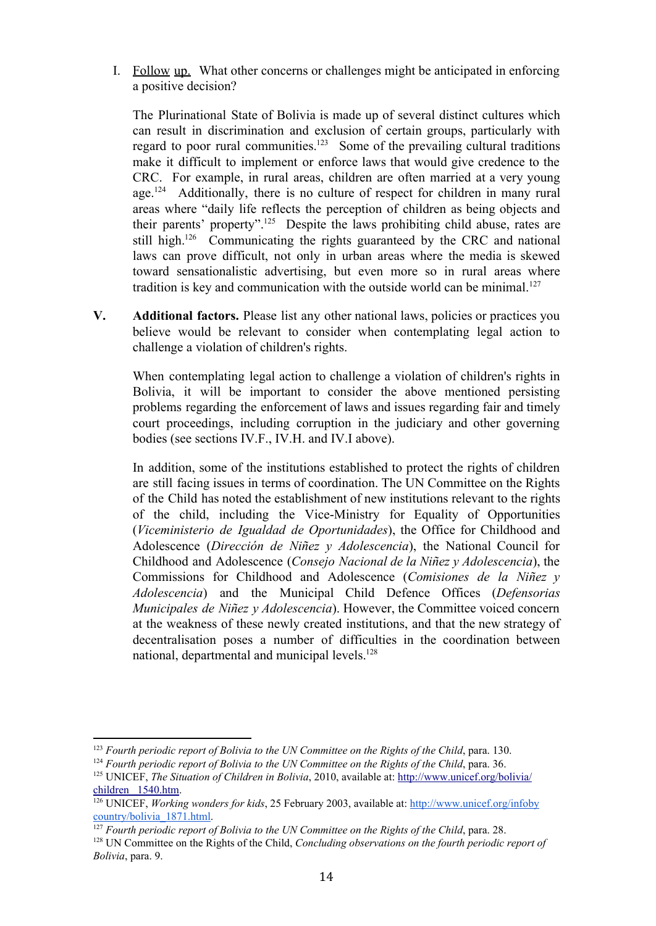I. Follow up. What other concerns or challenges might be anticipated in enforcing a positive decision?

The Plurinational State of Bolivia is made up of several distinct cultures which can result in discrimination and exclusion of certain groups, particularly with regard to poor rural communities.<sup>123</sup> Some of the prevailing cultural traditions make it difficult to implement or enforce laws that would give credence to the CRC. For example, in rural areas, children are often married at a very young age.<sup>124</sup> Additionally, there is no culture of respect for children in many rural areas where "daily life reflects the perception of children as being objects and their parents' property".<sup>125</sup> Despite the laws prohibiting child abuse, rates are still high.<sup>126</sup> Communicating the rights guaranteed by the CRC and national laws can prove difficult, not only in urban areas where the media is skewed toward sensationalistic advertising, but even more so in rural areas where tradition is key and communication with the outside world can be minimal.<sup>127</sup>

**V. Additional factors.** Please list any other national laws, policies or practices you believe would be relevant to consider when contemplating legal action to challenge a violation of children's rights.

When contemplating legal action to challenge a violation of children's rights in Bolivia, it will be important to consider the above mentioned persisting problems regarding the enforcement of laws and issues regarding fair and timely court proceedings, including corruption in the judiciary and other governing bodies (see sections IV.F., IV.H. and IV.I above).

In addition, some of the institutions established to protect the rights of children are still facing issues in terms of coordination. The UN Committee on the Rights of the Child has noted the establishment of new institutions relevant to the rights of the child, including the Vice-Ministry for Equality of Opportunities (*Viceministerio de Igualdad de Oportunidades*), the Office for Childhood and Adolescence (*Dirección de Niñez y Adolescencia*), the National Council for Childhood and Adolescence (*Consejo Nacional de la Niñez y Adolescencia*), the Commissions for Childhood and Adolescence (*Comisiones de la Niñez y Adolescencia*) and the Municipal Child Defence Offices (*Defensorias Municipales de Niñez y Adolescencia*). However, the Committee voiced concern at the weakness of these newly created institutions, and that the new strategy of decentralisation poses a number of difficulties in the coordination between national, departmental and municipal levels. 128

<sup>123</sup> *Fourth periodic report of Bolivia to the UN Committee on the Rights of the Child*, para. 130.

<sup>124</sup> *Fourth periodic report of Bolivia to the UN Committee on the Rights of the Child*, para. 36.

<sup>125</sup> UNICEF, *The Situation of Children in Bolivia*, 2010, available at: [http://www.unicef.org/bolivia/](http://www.unicef.org/bolivia/children_1540.htm) children [1540.htm.](http://www.unicef.org/bolivia/children_1540.htm)

<sup>126</sup> UNICEF, *Working wonders for kids*, 25 February 2003, available at: [http://www.unicef.org/infoby](http://www.unicef.org/infobycountry/bolivia_1871.html) [country/bolivia\\_1871.html.](http://www.unicef.org/infobycountry/bolivia_1871.html)

<sup>127</sup> *Fourth periodic report of Bolivia to the UN Committee on the Rights of the Child*, para. 28.

<sup>128</sup> UN Committee on the Rights of the Child, *Concluding observations on the fourth periodic report of Bolivia*, para. 9.